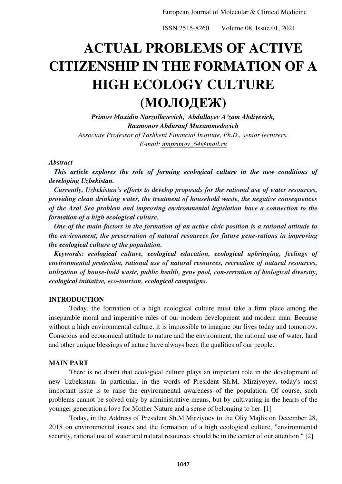# **ACTUAL PROBLEMS OF ACTIVE CITIZENSHIP IN THE FORMATION OF A HIGH ECOLOGY CULTURE (МОЛОДЕЖ)**

*Primov Muxidin Narzullayevich, Abdullayev A'zam Abdiyevich, Raxmonov Abdurauf Muxammedovich Associate Professor of Tashkent Financial Institute, Ph.D., senior lecturers. Е-mail: mnprimov\_64@mail.ru* 

## *Abstract*

 *This article explores the role of forming ecological culture in the new conditions of developing Uzbekistan.* 

 *Currently, Uzbekistan's efforts to develop proposals for the rational use of water resources, providing clean drinking water, the treatment of household waste, the negative consequences of the Aral Sea problem and improving environmental legislation have a connection to the formation of a high ecological culture.* 

 *One of the main factors in the formation of an active civic position is a rational attitude to the environment, the preservation of natural resources for future gene-rations in improving the ecological culture of the population.* 

 *Keywords: ecological culture, ecological education, ecological upbringing, feelings of environmental protection, rational use of natural resources, recreation of natural resources, utilization of house-hold waste, public health, gene pool, con-serration of biological diversity, ecological initiative, eco-tourism, ecological campaigns.* 

## **INTRODUCTION**

Today, the formation of a high ecological culture must take a firm place among the inseparable moral and imperative rules of our modern development and modern man. Because without a high environmental culture, it is impossible to imagine our lives today and tomorrow. Conscious and economical attitude to nature and the environment, the rational use of water, land and other unique blessings of nature have always been the qualities of our people.

### **MAIN PART**

There is no doubt that ecological culture plays an important role in the development of new Uzbekistan. In particular, in the words of President Sh.M. Mirziyoyev, today's most important issue is to raise the environmental awareness of the population. Of course, such problems cannot be solved only by administrative means, but by cultivating in the hearts of the younger generation a love for Mother Nature and a sense of belonging to her. [1]

Today, in the Address of President Sh.M.Mirziyoev to the Oliy Majlis on December 28, 2018 on environmental issues and the formation of a high ecological culture, "environmental security, rational use of water and natural resources should be in the center of our attention." [2]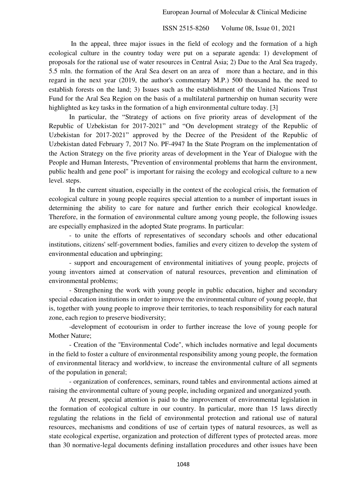In the appeal, three major issues in the field of ecology and the formation of a high ecological culture in the country today were put on a separate agenda: 1) development of proposals for the rational use of water resources in Central Asia; 2) Due to the Aral Sea tragedy, 5.5 mln. the formation of the Aral Sea desert on an area of more than a hectare, and in this regard in the next year (2019, the author's commentary M.P.) 500 thousand ha. the need to establish forests on the land; 3) Issues such as the establishment of the United Nations Trust Fund for the Aral Sea Region on the basis of a multilateral partnership on human security were highlighted as key tasks in the formation of a high environmental culture today. [3]

In particular, the "Strategy of actions on five priority areas of development of the Republic of Uzbekistan for 2017-2021" and "On development strategy of the Republic of Uzbekistan for 2017-2021" approved by the Decree of the President of the Republic of Uzbekistan dated February 7, 2017 No. PF-4947 In the State Program on the implementation of the Action Strategy on the five priority areas of development in the Year of Dialogue with the People and Human Interests, "Prevention of environmental problems that harm the environment, public health and gene pool" is important for raising the ecology and ecological culture to a new level. steps.

In the current situation, especially in the context of the ecological crisis, the formation of ecological culture in young people requires special attention to a number of important issues in determining the ability to care for nature and further enrich their ecological knowledge. Therefore, in the formation of environmental culture among young people, the following issues are especially emphasized in the adopted State programs. In particular:

- to unite the efforts of representatives of secondary schools and other educational institutions, citizens' self-government bodies, families and every citizen to develop the system of environmental education and upbringing;

- support and encouragement of environmental initiatives of young people, projects of young inventors aimed at conservation of natural resources, prevention and elimination of environmental problems;

- Strengthening the work with young people in public education, higher and secondary special education institutions in order to improve the environmental culture of young people, that is, together with young people to improve their territories, to teach responsibility for each natural zone, each region to preserve biodiversity;

-development of ecotourism in order to further increase the love of young people for Mother Nature;

- Creation of the "Environmental Code", which includes normative and legal documents in the field to foster a culture of environmental responsibility among young people, the formation of environmental literacy and worldview, to increase the environmental culture of all segments of the population in general;

- organization of conferences, seminars, round tables and environmental actions aimed at raising the environmental culture of young people, including organized and unorganized youth.

At present, special attention is paid to the improvement of environmental legislation in the formation of ecological culture in our country. In particular, more than 15 laws directly regulating the relations in the field of environmental protection and rational use of natural resources, mechanisms and conditions of use of certain types of natural resources, as well as state ecological expertise, organization and protection of different types of protected areas. more than 30 normative-legal documents defining installation procedures and other issues have been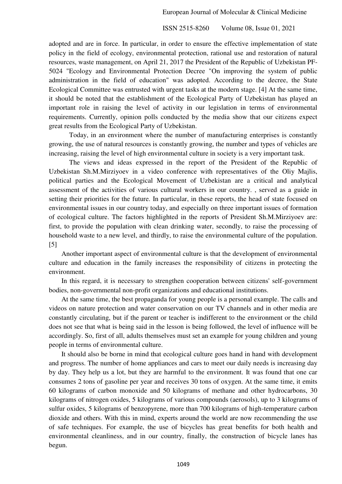adopted and are in force. In particular, in order to ensure the effective implementation of state policy in the field of ecology, environmental protection, rational use and restoration of natural resources, waste management, on April 21, 2017 the President of the Republic of Uzbekistan PF-5024 "Ecology and Environmental Protection Decree "On improving the system of public administration in the field of education" was adopted. According to the decree, the State Ecological Committee was entrusted with urgent tasks at the modern stage. [4] At the same time, it should be noted that the establishment of the Ecological Party of Uzbekistan has played an important role in raising the level of activity in our legislation in terms of environmental requirements. Currently, opinion polls conducted by the media show that our citizens expect great results from the Ecological Party of Uzbekistan.

Today, in an environment where the number of manufacturing enterprises is constantly growing, the use of natural resources is constantly growing, the number and types of vehicles are increasing, raising the level of high environmental culture in society is a very important task.

The views and ideas expressed in the report of the President of the Republic of Uzbekistan Sh.M.Mirziyoev in a video conference with representatives of the Oliy Majlis, political parties and the Ecological Movement of Uzbekistan are a critical and analytical assessment of the activities of various cultural workers in our country. , served as a guide in setting their priorities for the future. In particular, in these reports, the head of state focused on environmental issues in our country today, and especially on three important issues of formation of ecological culture. The factors highlighted in the reports of President Sh.M.Mirziyoev are: first, to provide the population with clean drinking water, secondly, to raise the processing of household waste to a new level, and thirdly, to raise the environmental culture of the population. [5]

Another important aspect of environmental culture is that the development of environmental culture and education in the family increases the responsibility of citizens in protecting the environment.

In this regard, it is necessary to strengthen cooperation between citizens' self-government bodies, non-governmental non-profit organizations and educational institutions.

At the same time, the best propaganda for young people is a personal example. The calls and videos on nature protection and water conservation on our TV channels and in other media are constantly circulating, but if the parent or teacher is indifferent to the environment or the child does not see that what is being said in the lesson is being followed, the level of influence will be accordingly. So, first of all, adults themselves must set an example for young children and young people in terms of environmental culture.

It should also be borne in mind that ecological culture goes hand in hand with development and progress. The number of home appliances and cars to meet our daily needs is increasing day by day. They help us a lot, but they are harmful to the environment. It was found that one car consumes 2 tons of gasoline per year and receives 30 tons of oxygen. At the same time, it emits 60 kilograms of carbon monoxide and 50 kilograms of methane and other hydrocarbons, 30 kilograms of nitrogen oxides, 5 kilograms of various compounds (aerosols), up to 3 kilograms of sulfur oxides, 5 kilograms of benzopyrene, more than 700 kilograms of high-temperature carbon dioxide and others. With this in mind, experts around the world are now recommending the use of safe techniques. For example, the use of bicycles has great benefits for both health and environmental cleanliness, and in our country, finally, the construction of bicycle lanes has begun.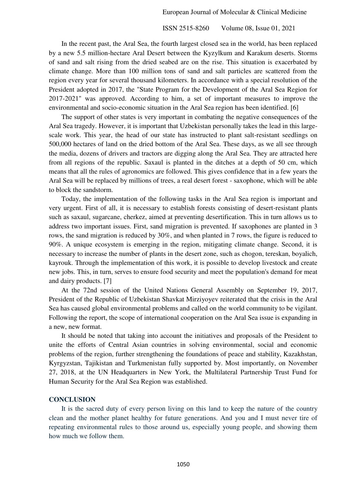In the recent past, the Aral Sea, the fourth largest closed sea in the world, has been replaced by a new 5.5 million-hectare Aral Desert between the Kyzylkum and Karakum deserts. Storms of sand and salt rising from the dried seabed are on the rise. This situation is exacerbated by climate change. More than 100 million tons of sand and salt particles are scattered from the region every year for several thousand kilometers. In accordance with a special resolution of the President adopted in 2017, the "State Program for the Development of the Aral Sea Region for 2017-2021" was approved. According to him, a set of important measures to improve the environmental and socio-economic situation in the Aral Sea region has been identified. [6]

The support of other states is very important in combating the negative consequences of the Aral Sea tragedy. However, it is important that Uzbekistan personally takes the lead in this largescale work. This year, the head of our state has instructed to plant salt-resistant seedlings on 500,000 hectares of land on the dried bottom of the Aral Sea. These days, as we all see through the media, dozens of drivers and tractors are digging along the Aral Sea. They are attracted here from all regions of the republic. Saxaul is planted in the ditches at a depth of 50 cm, which means that all the rules of agronomics are followed. This gives confidence that in a few years the Aral Sea will be replaced by millions of trees, a real desert forest - saxophone, which will be able to block the sandstorm.

Today, the implementation of the following tasks in the Aral Sea region is important and very urgent. First of all, it is necessary to establish forests consisting of desert-resistant plants such as saxaul, sugarcane, cherkez, aimed at preventing desertification. This in turn allows us to address two important issues. First, sand migration is prevented. If saxophones are planted in 3 rows, the sand migration is reduced by 30%, and when planted in 7 rows, the figure is reduced to 90%. A unique ecosystem is emerging in the region, mitigating climate change. Second, it is necessary to increase the number of plants in the desert zone, such as chogon, tereskan, boyalich, kayrouk. Through the implementation of this work, it is possible to develop livestock and create new jobs. This, in turn, serves to ensure food security and meet the population's demand for meat and dairy products. [7]

At the 72nd session of the United Nations General Assembly on September 19, 2017, President of the Republic of Uzbekistan Shavkat Mirziyoyev reiterated that the crisis in the Aral Sea has caused global environmental problems and called on the world community to be vigilant. Following the report, the scope of international cooperation on the Aral Sea issue is expanding in a new, new format.

It should be noted that taking into account the initiatives and proposals of the President to unite the efforts of Central Asian countries in solving environmental, social and economic problems of the region, further strengthening the foundations of peace and stability, Kazakhstan, Kyrgyzstan, Tajikistan and Turkmenistan fully supported by. Most importantly, on November 27, 2018, at the UN Headquarters in New York, the Multilateral Partnership Trust Fund for Human Security for the Aral Sea Region was established.

#### **CONCLUSION**

It is the sacred duty of every person living on this land to keep the nature of the country clean and the mother planet healthy for future generations. And you and I must never tire of repeating environmental rules to those around us, especially young people, and showing them how much we follow them.